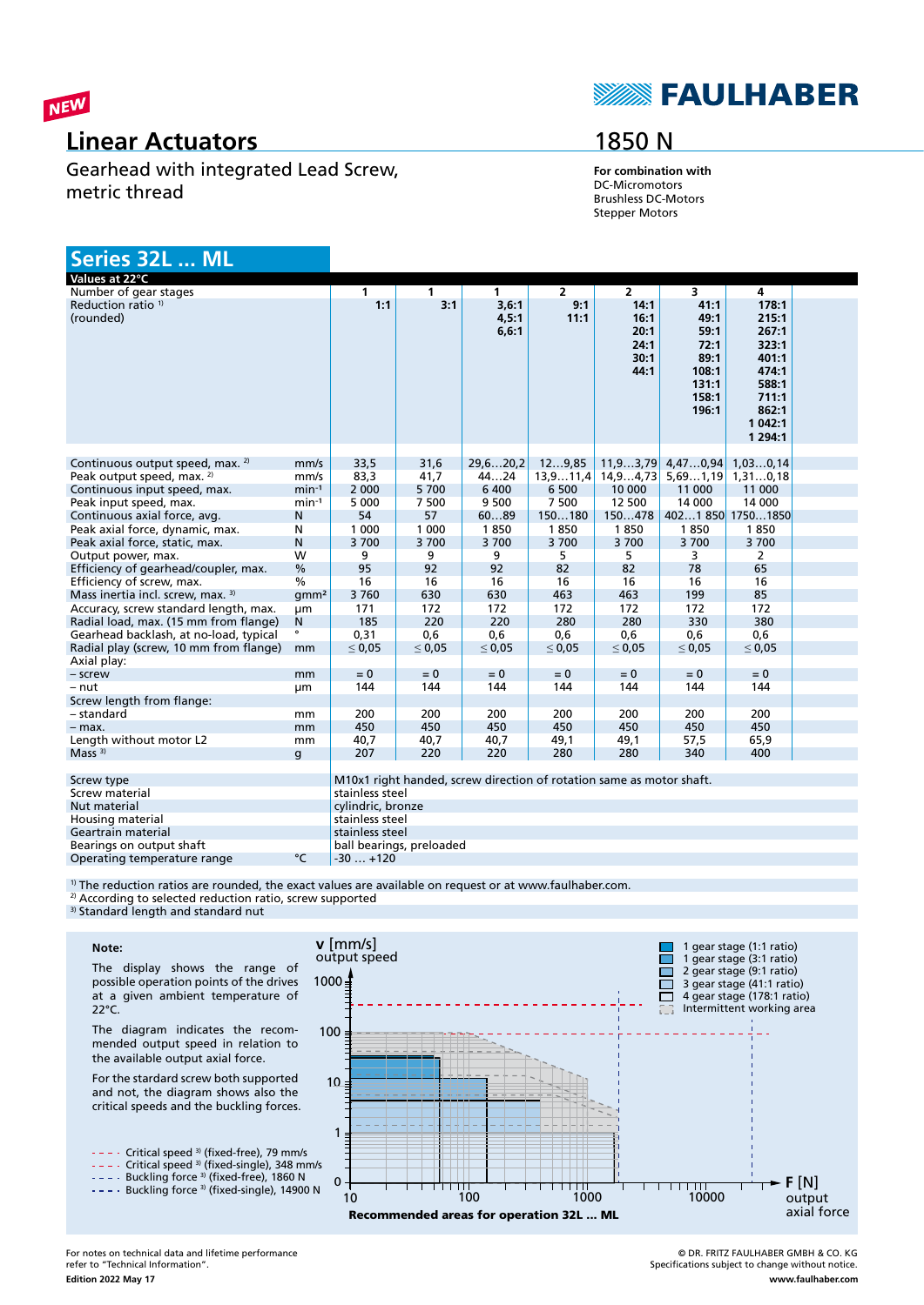

### **Linear Actuators**

Gearhead with integrated Lead Screw, metric thread

## **SEAULHABER**

## 1850 N

**For combination with** DC-Micromotors Brushless DC-Motors Stepper Motors

| Series 32L  ML                              |                   |                                                                      |             |                          |                |                                              |                                                                          |                                                                                                       |  |
|---------------------------------------------|-------------------|----------------------------------------------------------------------|-------------|--------------------------|----------------|----------------------------------------------|--------------------------------------------------------------------------|-------------------------------------------------------------------------------------------------------|--|
| Values at 22°C                              |                   |                                                                      |             |                          |                |                                              |                                                                          |                                                                                                       |  |
| Number of gear stages                       |                   | 1                                                                    | 1           | $\mathbf{1}$             | $\overline{2}$ | $\overline{2}$                               | 3                                                                        | 4                                                                                                     |  |
| Reduction ratio <sup>1)</sup><br>(rounded)  |                   | 1:1                                                                  | 3:1         | 3,6:1<br>4,5:1<br>6, 6:1 | 9:1<br>11:1    | 14:1<br>16:1<br>20:1<br>24:1<br>30:1<br>44:1 | 41:1<br>49:1<br>59:1<br>72:1<br>89:1<br>108:1<br>131:1<br>158:1<br>196:1 | 178:1<br>215:1<br>267:1<br>323:1<br>401:1<br>474:1<br>588:1<br>711:1<br>862:1<br>1 042:1<br>1 2 9 4:1 |  |
| Continuous output speed, max. <sup>2)</sup> | mm/s              | 33,5                                                                 | 31,6        | 29,620,2                 | 129.85         | 11, 93, 79                                   | 4,470,94                                                                 | 1,030,14                                                                                              |  |
| Peak output speed, max. 2)                  | mm/s              | 83,3                                                                 | 41,7        | 4424                     | 13,911,4       | 14,94,73                                     | 5,691,19                                                                 | 1,310,18                                                                                              |  |
| Continuous input speed, max.                | $min-1$           | 2 0 0 0                                                              | 5700        | 6 4 0 0                  | 6 500          | 10 000                                       | 11 000                                                                   | 11 000                                                                                                |  |
| Peak input speed, max.                      | $min-1$           | 5 0 0 0                                                              | 7 500       | 9 500                    | 7 500          | 12 500                                       | 14 000                                                                   | 14 000                                                                                                |  |
| Continuous axial force, avg.                | N                 | 54                                                                   | 57          | 6089                     | 150180         | 150478                                       |                                                                          | 4021850 17501850                                                                                      |  |
| Peak axial force, dynamic, max.             | N                 | 1 0 0 0                                                              | 1 0 0 0     | 1850                     | 1850           | 1850                                         | 1850                                                                     | 1850                                                                                                  |  |
| Peak axial force, static, max.              | N                 | 3700                                                                 | 3700        | 3700                     | 3700           | 3700                                         | 3700                                                                     | 3700                                                                                                  |  |
| Output power, max.                          | W                 | 9                                                                    | 9           | 9                        | 5.             | 5                                            | 3                                                                        | $\overline{2}$                                                                                        |  |
| Efficiency of gearhead/coupler, max.        | $\frac{0}{0}$     | 95                                                                   | 92          | 92                       | 82             | 82                                           | 78                                                                       | 65                                                                                                    |  |
| Efficiency of screw, max.                   | $\frac{0}{6}$     | 16                                                                   | 16          | 16                       | 16             | 16                                           | 16                                                                       | 16                                                                                                    |  |
| Mass inertia incl. screw, max. 3)           | qmm <sup>2</sup>  | 3760                                                                 | 630         | 630                      | 463            | 463                                          | 199                                                                      | 85                                                                                                    |  |
| Accuracy, screw standard length, max.       | μm                | 171                                                                  | 172         | 172                      | 172            | 172                                          | 172                                                                      | 172                                                                                                   |  |
| Radial load, max. (15 mm from flange)       | N                 | 185                                                                  | 220         | 220                      | 280            | 280                                          | 330                                                                      | 380                                                                                                   |  |
| Gearhead backlash, at no-load, typical      | $\bullet$         | 0,31                                                                 | 0,6         | 0,6                      | 0,6            | 0,6                                          | 0,6                                                                      | 0,6                                                                                                   |  |
| Radial play (screw, 10 mm from flange)      | mm                | $\leq 0.05$                                                          | $\leq 0.05$ | $\leq 0.05$              | $\leq 0.05$    | $\leq 0.05$                                  | $\leq 0.05$                                                              | $\leq 0.05$                                                                                           |  |
| Axial play:                                 |                   |                                                                      |             |                          |                |                                              |                                                                          |                                                                                                       |  |
| - screw                                     | mm                | $= 0$                                                                | $= 0$       | $= 0$                    | $= 0$          | $= 0$                                        | $= 0$                                                                    | $= 0$                                                                                                 |  |
| $-nut$                                      | μm                | 144                                                                  | 144         | 144                      | 144            | 144                                          | 144                                                                      | 144                                                                                                   |  |
| Screw length from flange:                   |                   |                                                                      |             |                          |                |                                              |                                                                          |                                                                                                       |  |
| - standard                                  | mm                | 200                                                                  | 200         | 200                      | 200            | 200                                          | 200                                                                      | 200                                                                                                   |  |
| $-$ max.                                    | mm                | 450                                                                  | 450         | 450                      | 450            | 450                                          | 450                                                                      | 450                                                                                                   |  |
| Length without motor L2                     | mm                | 40,7                                                                 | 40,7        | 40,7                     | 49,1           | 49,1                                         | 57,5                                                                     | 65,9                                                                                                  |  |
| Mass $3)$                                   | g                 | 207                                                                  | 220         | 220                      | 280            | 280                                          | 340                                                                      | 400                                                                                                   |  |
|                                             |                   |                                                                      |             |                          |                |                                              |                                                                          |                                                                                                       |  |
| Screw type                                  |                   | M10x1 right handed, screw direction of rotation same as motor shaft. |             |                          |                |                                              |                                                                          |                                                                                                       |  |
| Screw material                              |                   | stainless steel                                                      |             |                          |                |                                              |                                                                          |                                                                                                       |  |
| Nut material                                | cylindric, bronze |                                                                      |             |                          |                |                                              |                                                                          |                                                                                                       |  |
| Housing material                            | stainless steel   |                                                                      |             |                          |                |                                              |                                                                          |                                                                                                       |  |
| Geartrain material<br>stainless steel       |                   |                                                                      |             |                          |                |                                              |                                                                          |                                                                                                       |  |

Bearings on output shaft ball bearings, preloaded<br>
Operating temperature range  $\begin{matrix} \bullet & \bullet \\ \bullet & \bullet \end{matrix}$  -30 ... +120 Operating temperature range

<sup>1)</sup> The reduction ratios are rounded, the exact values are available on request or at www.faulhaber.com.

<sup>2)</sup> According to selected reduction ratio, screw supported

<sup>3)</sup> Standard length and standard nut

#### **Note:**

The display shows the range of possible operation points of the drives at a given ambient temperature of 22°C.

The diagram indicates the recommended output speed in relation to the available output axial force.

For the stardard screw both supported and not, the diagram shows also the critical speeds and the buckling forces.



Critical speed 3) (fixed-single), 348 mm/s

Buckling force <sup>3)</sup> (fixed-free), 1860 N

Buckling force <sup>3)</sup> (fixed-single), 14900 N



© DR. FRITZ FAULHABER GMBH & CO. KG Specifications subject to change without notice. **www.faulhaber.com**